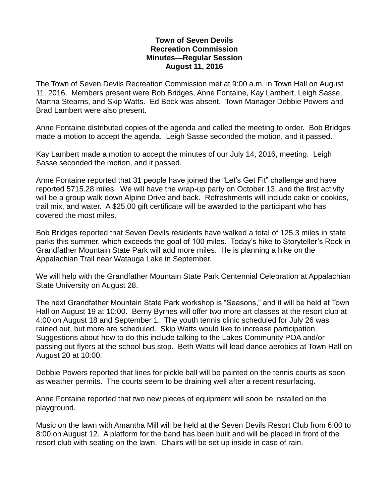## **Town of Seven Devils Recreation Commission Minutes—Regular Session August 11, 2016**

The Town of Seven Devils Recreation Commission met at 9:00 a.m. in Town Hall on August 11, 2016. Members present were Bob Bridges, Anne Fontaine, Kay Lambert, Leigh Sasse, Martha Stearns, and Skip Watts. Ed Beck was absent. Town Manager Debbie Powers and Brad Lambert were also present.

Anne Fontaine distributed copies of the agenda and called the meeting to order. Bob Bridges made a motion to accept the agenda. Leigh Sasse seconded the motion, and it passed.

Kay Lambert made a motion to accept the minutes of our July 14, 2016, meeting. Leigh Sasse seconded the motion, and it passed.

Anne Fontaine reported that 31 people have joined the "Let's Get Fit" challenge and have reported 5715.28 miles. We will have the wrap-up party on October 13, and the first activity will be a group walk down Alpine Drive and back. Refreshments will include cake or cookies, trail mix, and water. A \$25.00 gift certificate will be awarded to the participant who has covered the most miles.

Bob Bridges reported that Seven Devils residents have walked a total of 125.3 miles in state parks this summer, which exceeds the goal of 100 miles. Today's hike to Storyteller's Rock in Grandfather Mountain State Park will add more miles. He is planning a hike on the Appalachian Trail near Watauga Lake in September.

We will help with the Grandfather Mountain State Park Centennial Celebration at Appalachian State University on August 28.

The next Grandfather Mountain State Park workshop is "Seasons," and it will be held at Town Hall on August 19 at 10:00. Berny Byrnes will offer two more art classes at the resort club at 4:00 on August 18 and September 1. The youth tennis clinic scheduled for July 26 was rained out, but more are scheduled. Skip Watts would like to increase participation. Suggestions about how to do this include talking to the Lakes Community POA and/or passing out flyers at the school bus stop. Beth Watts will lead dance aerobics at Town Hall on August 20 at 10:00.

Debbie Powers reported that lines for pickle ball will be painted on the tennis courts as soon as weather permits. The courts seem to be draining well after a recent resurfacing.

Anne Fontaine reported that two new pieces of equipment will soon be installed on the playground.

Music on the lawn with Amantha Mill will be held at the Seven Devils Resort Club from 6:00 to 8:00 on August 12. A platform for the band has been built and will be placed in front of the resort club with seating on the lawn. Chairs will be set up inside in case of rain.